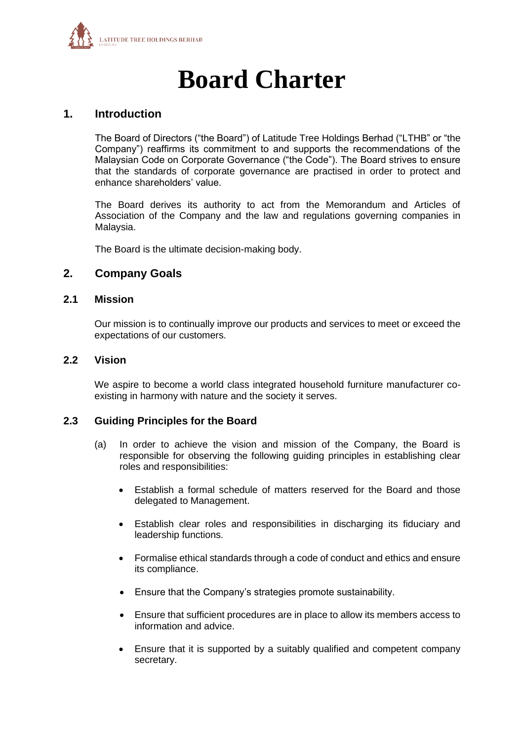

# **Board Charter**

# **1. Introduction**

The Board of Directors ("the Board") of Latitude Tree Holdings Berhad ("LTHB" or "the Company") reaffirms its commitment to and supports the recommendations of the Malaysian Code on Corporate Governance ("the Code"). The Board strives to ensure that the standards of corporate governance are practised in order to protect and enhance shareholders' value.

The Board derives its authority to act from the Memorandum and Articles of Association of the Company and the law and regulations governing companies in Malaysia.

The Board is the ultimate decision-making body.

#### **2. Company Goals**

#### **2.1 Mission**

Our mission is to continually improve our products and services to meet or exceed the expectations of our customers.

#### **2.2 Vision**

We aspire to become a world class integrated household furniture manufacturer coexisting in harmony with nature and the society it serves.

#### **2.3 Guiding Principles for the Board**

- (a) In order to achieve the vision and mission of the Company, the Board is responsible for observing the following guiding principles in establishing clear roles and responsibilities:
	- Establish a formal schedule of matters reserved for the Board and those delegated to Management.
	- Establish clear roles and responsibilities in discharging its fiduciary and leadership functions.
	- Formalise ethical standards through a code of conduct and ethics and ensure its compliance.
	- Ensure that the Company's strategies promote sustainability.
	- Ensure that sufficient procedures are in place to allow its members access to information and advice.
	- Ensure that it is supported by a suitably qualified and competent company secretary.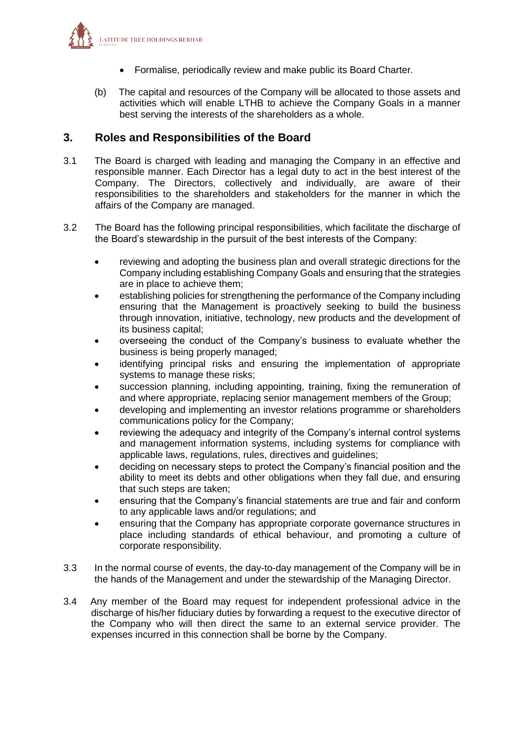

- Formalise, periodically review and make public its Board Charter.
- (b) The capital and resources of the Company will be allocated to those assets and activities which will enable LTHB to achieve the Company Goals in a manner best serving the interests of the shareholders as a whole.

# **3. Roles and Responsibilities of the Board**

- 3.1 The Board is charged with leading and managing the Company in an effective and responsible manner. Each Director has a legal duty to act in the best interest of the Company. The Directors, collectively and individually, are aware of their responsibilities to the shareholders and stakeholders for the manner in which the affairs of the Company are managed.
- 3.2 The Board has the following principal responsibilities, which facilitate the discharge of the Board's stewardship in the pursuit of the best interests of the Company:
	- reviewing and adopting the business plan and overall strategic directions for the Company including establishing Company Goals and ensuring that the strategies are in place to achieve them;
	- establishing policies for strengthening the performance of the Company including ensuring that the Management is proactively seeking to build the business through innovation, initiative, technology, new products and the development of its business capital;
	- overseeing the conduct of the Company's business to evaluate whether the business is being properly managed;
	- identifying principal risks and ensuring the implementation of appropriate systems to manage these risks;
	- succession planning, including appointing, training, fixing the remuneration of and where appropriate, replacing senior management members of the Group;
	- developing and implementing an investor relations programme or shareholders communications policy for the Company;
	- reviewing the adequacy and integrity of the Company's internal control systems and management information systems, including systems for compliance with applicable laws, regulations, rules, directives and guidelines;
	- deciding on necessary steps to protect the Company's financial position and the ability to meet its debts and other obligations when they fall due, and ensuring that such steps are taken;
	- ensuring that the Company's financial statements are true and fair and conform to any applicable laws and/or regulations; and
	- ensuring that the Company has appropriate corporate governance structures in place including standards of ethical behaviour, and promoting a culture of corporate responsibility.
- 3.3 In the normal course of events, the day-to-day management of the Company will be in the hands of the Management and under the stewardship of the Managing Director.
- 3.4 Any member of the Board may request for independent professional advice in the discharge of his/her fiduciary duties by forwarding a request to the executive director of the Company who will then direct the same to an external service provider. The expenses incurred in this connection shall be borne by the Company.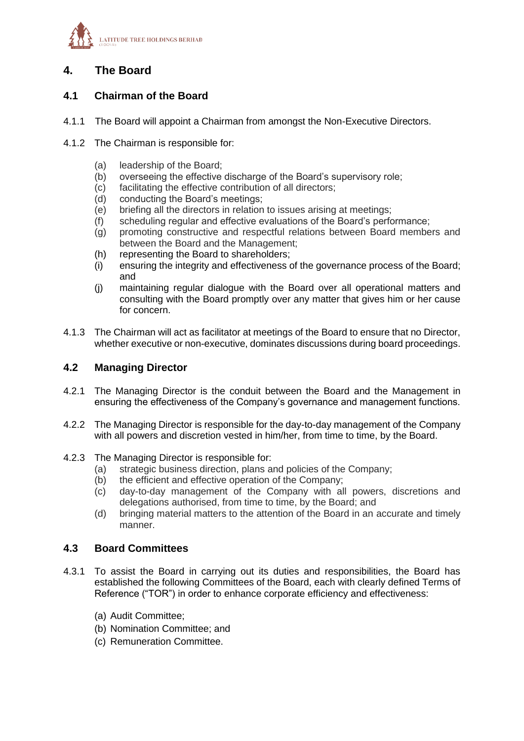

# **4. The Board**

# **4.1 Chairman of the Board**

- 4.1.1 The Board will appoint a Chairman from amongst the Non-Executive Directors.
- 4.1.2 The Chairman is responsible for:
	- (a) leadership of the Board;
	- (b) overseeing the effective discharge of the Board's supervisory role;
	- (c) facilitating the effective contribution of all directors;
	- (d) conducting the Board's meetings;
	- (e) briefing all the directors in relation to issues arising at meetings;
	- (f) scheduling regular and effective evaluations of the Board's performance;
	- (g) promoting constructive and respectful relations between Board members and between the Board and the Management;
	- (h) representing the Board to shareholders;
	- (i) ensuring the integrity and effectiveness of the governance process of the Board; and
	- (j) maintaining regular dialogue with the Board over all operational matters and consulting with the Board promptly over any matter that gives him or her cause for concern.
- 4.1.3 The Chairman will act as facilitator at meetings of the Board to ensure that no Director, whether executive or non-executive, dominates discussions during board proceedings.

#### **4.2 Managing Director**

- 4.2.1 The Managing Director is the conduit between the Board and the Management in ensuring the effectiveness of the Company's governance and management functions.
- 4.2.2 The Managing Director is responsible for the day-to-day management of the Company with all powers and discretion vested in him/her, from time to time, by the Board.
- 4.2.3 The Managing Director is responsible for:
	- (a) strategic business direction, plans and policies of the Company;
	- (b) the efficient and effective operation of the Company;
	- (c) day-to-day management of the Company with all powers, discretions and delegations authorised, from time to time, by the Board; and
	- (d) bringing material matters to the attention of the Board in an accurate and timely manner.

#### **4.3 Board Committees**

- 4.3.1 To assist the Board in carrying out its duties and responsibilities, the Board has established the following Committees of the Board, each with clearly defined Terms of Reference ("TOR") in order to enhance corporate efficiency and effectiveness:
	- (a) Audit Committee;
	- (b) Nomination Committee; and
	- (c) Remuneration Committee.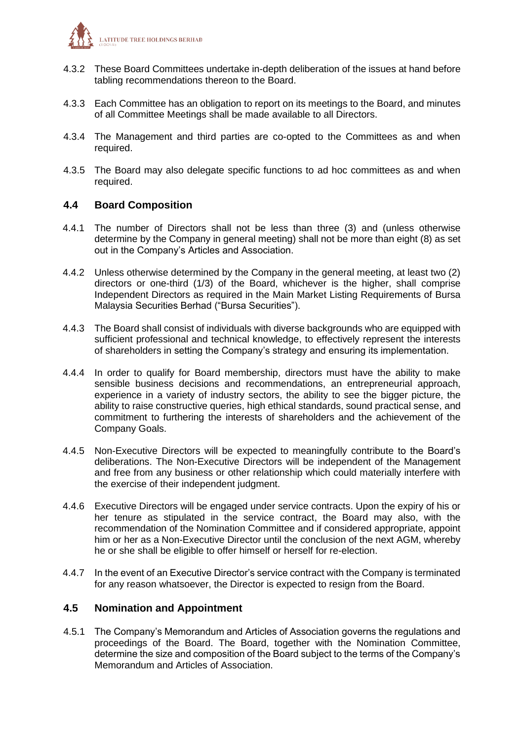

- 4.3.2 These Board Committees undertake in-depth deliberation of the issues at hand before tabling recommendations thereon to the Board.
- 4.3.3 Each Committee has an obligation to report on its meetings to the Board, and minutes of all Committee Meetings shall be made available to all Directors.
- 4.3.4 The Management and third parties are co-opted to the Committees as and when required.
- 4.3.5 The Board may also delegate specific functions to ad hoc committees as and when required.

#### **4.4 Board Composition**

- 4.4.1 The number of Directors shall not be less than three (3) and (unless otherwise determine by the Company in general meeting) shall not be more than eight (8) as set out in the Company's Articles and Association.
- 4.4.2 Unless otherwise determined by the Company in the general meeting, at least two (2) directors or one-third (1/3) of the Board, whichever is the higher, shall comprise Independent Directors as required in the Main Market Listing Requirements of Bursa Malaysia Securities Berhad ("Bursa Securities").
- 4.4.3 The Board shall consist of individuals with diverse backgrounds who are equipped with sufficient professional and technical knowledge, to effectively represent the interests of shareholders in setting the Company's strategy and ensuring its implementation.
- 4.4.4 In order to qualify for Board membership, directors must have the ability to make sensible business decisions and recommendations, an entrepreneurial approach, experience in a variety of industry sectors, the ability to see the bigger picture, the ability to raise constructive queries, high ethical standards, sound practical sense, and commitment to furthering the interests of shareholders and the achievement of the Company Goals.
- 4.4.5 Non-Executive Directors will be expected to meaningfully contribute to the Board's deliberations. The Non-Executive Directors will be independent of the Management and free from any business or other relationship which could materially interfere with the exercise of their independent judgment.
- 4.4.6 Executive Directors will be engaged under service contracts. Upon the expiry of his or her tenure as stipulated in the service contract, the Board may also, with the recommendation of the Nomination Committee and if considered appropriate, appoint him or her as a Non-Executive Director until the conclusion of the next AGM, whereby he or she shall be eligible to offer himself or herself for re-election.
- 4.4.7 In the event of an Executive Director's service contract with the Company is terminated for any reason whatsoever, the Director is expected to resign from the Board.

#### **4.5 Nomination and Appointment**

4.5.1 The Company's Memorandum and Articles of Association governs the regulations and proceedings of the Board. The Board, together with the Nomination Committee, determine the size and composition of the Board subject to the terms of the Company's Memorandum and Articles of Association.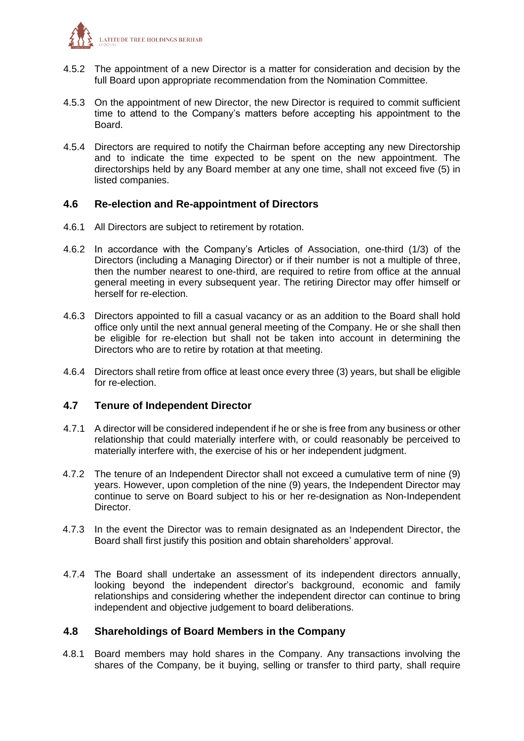

- 4.5.2 The appointment of a new Director is a matter for consideration and decision by the full Board upon appropriate recommendation from the Nomination Committee.
- 4.5.3 On the appointment of new Director, the new Director is required to commit sufficient time to attend to the Company's matters before accepting his appointment to the Board.
- 4.5.4 Directors are required to notify the Chairman before accepting any new Directorship and to indicate the time expected to be spent on the new appointment. The directorships held by any Board member at any one time, shall not exceed five (5) in listed companies.

#### **4.6 Re-election and Re-appointment of Directors**

- 4.6.1 All Directors are subject to retirement by rotation.
- 4.6.2 In accordance with the Company's Articles of Association, one-third (1/3) of the Directors (including a Managing Director) or if their number is not a multiple of three, then the number nearest to one-third, are required to retire from office at the annual general meeting in every subsequent year. The retiring Director may offer himself or herself for re-election.
- 4.6.3 Directors appointed to fill a casual vacancy or as an addition to the Board shall hold office only until the next annual general meeting of the Company. He or she shall then be eligible for re-election but shall not be taken into account in determining the Directors who are to retire by rotation at that meeting.
- 4.6.4 Directors shall retire from office at least once every three (3) years, but shall be eligible for re-election.

#### **4.7 Tenure of Independent Director**

- 4.7.1 A director will be considered independent if he or she is free from any business or other relationship that could materially interfere with, or could reasonably be perceived to materially interfere with, the exercise of his or her independent judgment.
- 4.7.2 The tenure of an Independent Director shall not exceed a cumulative term of nine (9) years. However, upon completion of the nine (9) years, the Independent Director may continue to serve on Board subject to his or her re-designation as Non-Independent Director.
- 4.7.3 In the event the Director was to remain designated as an Independent Director, the Board shall first justify this position and obtain shareholders' approval.
- 4.7.4 The Board shall undertake an assessment of its independent directors annually, looking beyond the independent director's background, economic and family relationships and considering whether the independent director can continue to bring independent and objective judgement to board deliberations.

#### **4.8 Shareholdings of Board Members in the Company**

4.8.1 Board members may hold shares in the Company. Any transactions involving the shares of the Company, be it buying, selling or transfer to third party, shall require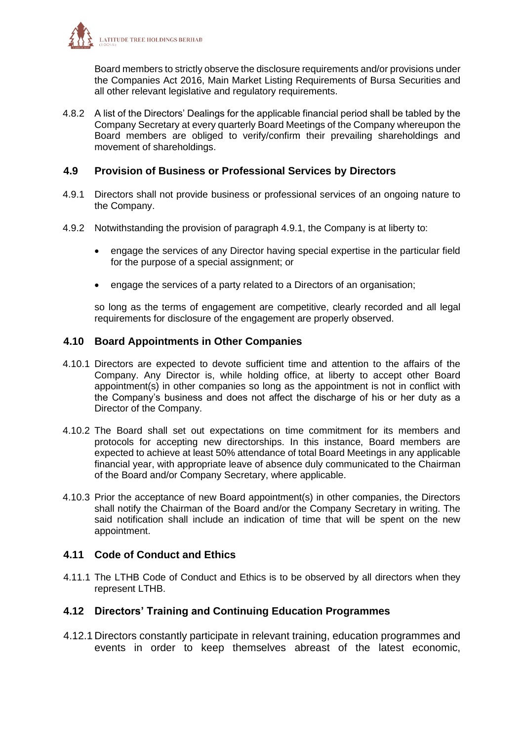

Board members to strictly observe the disclosure requirements and/or provisions under the Companies Act 2016, Main Market Listing Requirements of Bursa Securities and all other relevant legislative and regulatory requirements.

4.8.2 A list of the Directors' Dealings for the applicable financial period shall be tabled by the Company Secretary at every quarterly Board Meetings of the Company whereupon the Board members are obliged to verify/confirm their prevailing shareholdings and movement of shareholdings.

#### **4.9 Provision of Business or Professional Services by Directors**

- 4.9.1 Directors shall not provide business or professional services of an ongoing nature to the Company.
- 4.9.2 Notwithstanding the provision of paragraph 4.9.1, the Company is at liberty to:
	- engage the services of any Director having special expertise in the particular field for the purpose of a special assignment; or
	- engage the services of a party related to a Directors of an organisation;

so long as the terms of engagement are competitive, clearly recorded and all legal requirements for disclosure of the engagement are properly observed.

#### **4.10 Board Appointments in Other Companies**

- 4.10.1 Directors are expected to devote sufficient time and attention to the affairs of the Company. Any Director is, while holding office, at liberty to accept other Board appointment(s) in other companies so long as the appointment is not in conflict with the Company's business and does not affect the discharge of his or her duty as a Director of the Company.
- 4.10.2 The Board shall set out expectations on time commitment for its members and protocols for accepting new directorships. In this instance, Board members are expected to achieve at least 50% attendance of total Board Meetings in any applicable financial year, with appropriate leave of absence duly communicated to the Chairman of the Board and/or Company Secretary, where applicable.
- 4.10.3 Prior the acceptance of new Board appointment(s) in other companies, the Directors shall notify the Chairman of the Board and/or the Company Secretary in writing. The said notification shall include an indication of time that will be spent on the new appointment.

#### **4.11 Code of Conduct and Ethics**

4.11.1 The LTHB Code of Conduct and Ethics is to be observed by all directors when they represent LTHB.

#### **4.12 Directors' Training and Continuing Education Programmes**

4.12.1 Directors constantly participate in relevant training, education programmes and events in order to keep themselves abreast of the latest economic,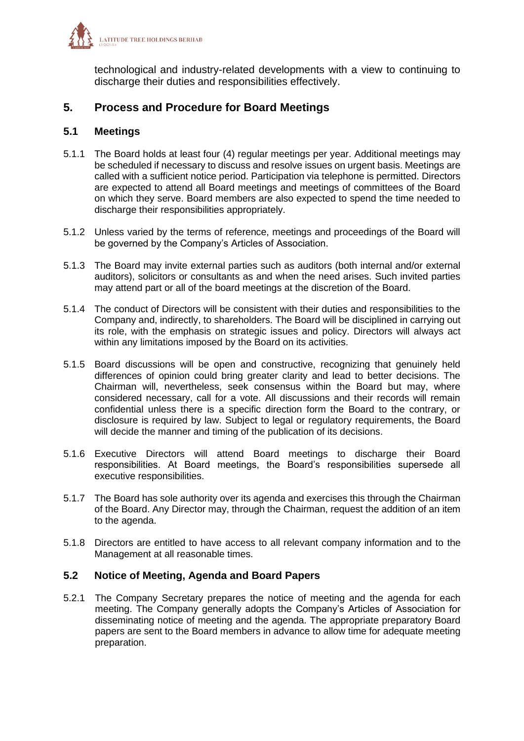

technological and industry-related developments with a view to continuing to discharge their duties and responsibilities effectively.

# **5. Process and Procedure for Board Meetings**

#### **5.1 Meetings**

- 5.1.1 The Board holds at least four (4) regular meetings per year. Additional meetings may be scheduled if necessary to discuss and resolve issues on urgent basis. Meetings are called with a sufficient notice period. Participation via telephone is permitted. Directors are expected to attend all Board meetings and meetings of committees of the Board on which they serve. Board members are also expected to spend the time needed to discharge their responsibilities appropriately.
- 5.1.2 Unless varied by the terms of reference, meetings and proceedings of the Board will be governed by the Company's Articles of Association.
- 5.1.3 The Board may invite external parties such as auditors (both internal and/or external auditors), solicitors or consultants as and when the need arises. Such invited parties may attend part or all of the board meetings at the discretion of the Board.
- 5.1.4 The conduct of Directors will be consistent with their duties and responsibilities to the Company and, indirectly, to shareholders. The Board will be disciplined in carrying out its role, with the emphasis on strategic issues and policy. Directors will always act within any limitations imposed by the Board on its activities.
- 5.1.5 Board discussions will be open and constructive, recognizing that genuinely held differences of opinion could bring greater clarity and lead to better decisions. The Chairman will, nevertheless, seek consensus within the Board but may, where considered necessary, call for a vote. All discussions and their records will remain confidential unless there is a specific direction form the Board to the contrary, or disclosure is required by law. Subject to legal or regulatory requirements, the Board will decide the manner and timing of the publication of its decisions.
- 5.1.6 Executive Directors will attend Board meetings to discharge their Board responsibilities. At Board meetings, the Board's responsibilities supersede all executive responsibilities.
- 5.1.7 The Board has sole authority over its agenda and exercises this through the Chairman of the Board. Any Director may, through the Chairman, request the addition of an item to the agenda.
- 5.1.8 Directors are entitled to have access to all relevant company information and to the Management at all reasonable times.

#### **5.2 Notice of Meeting, Agenda and Board Papers**

5.2.1 The Company Secretary prepares the notice of meeting and the agenda for each meeting. The Company generally adopts the Company's Articles of Association for disseminating notice of meeting and the agenda. The appropriate preparatory Board papers are sent to the Board members in advance to allow time for adequate meeting preparation.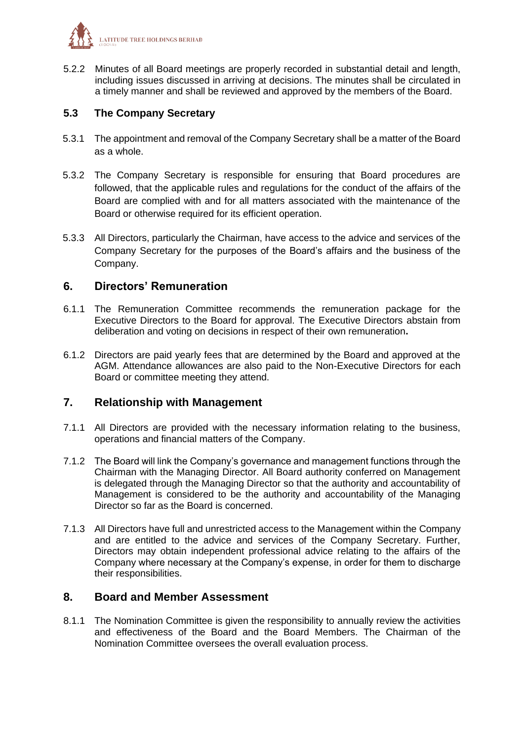

5.2.2 Minutes of all Board meetings are properly recorded in substantial detail and length, including issues discussed in arriving at decisions. The minutes shall be circulated in a timely manner and shall be reviewed and approved by the members of the Board.

# **5.3 The Company Secretary**

- 5.3.1 The appointment and removal of the Company Secretary shall be a matter of the Board as a whole.
- 5.3.2 The Company Secretary is responsible for ensuring that Board procedures are followed, that the applicable rules and regulations for the conduct of the affairs of the Board are complied with and for all matters associated with the maintenance of the Board or otherwise required for its efficient operation.
- 5.3.3 All Directors, particularly the Chairman, have access to the advice and services of the Company Secretary for the purposes of the Board's affairs and the business of the Company.

# **6. Directors' Remuneration**

- 6.1.1 The Remuneration Committee recommends the remuneration package for the Executive Directors to the Board for approval. The Executive Directors abstain from deliberation and voting on decisions in respect of their own remuneration**.**
- 6.1.2 Directors are paid yearly fees that are determined by the Board and approved at the AGM. Attendance allowances are also paid to the Non-Executive Directors for each Board or committee meeting they attend.

#### **7. Relationship with Management**

- 7.1.1 All Directors are provided with the necessary information relating to the business, operations and financial matters of the Company.
- 7.1.2 The Board will link the Company's governance and management functions through the Chairman with the Managing Director. All Board authority conferred on Management is delegated through the Managing Director so that the authority and accountability of Management is considered to be the authority and accountability of the Managing Director so far as the Board is concerned.
- 7.1.3 All Directors have full and unrestricted access to the Management within the Company and are entitled to the advice and services of the Company Secretary. Further, Directors may obtain independent professional advice relating to the affairs of the Company where necessary at the Company's expense, in order for them to discharge their responsibilities.

# **8. Board and Member Assessment**

8.1.1 The Nomination Committee is given the responsibility to annually review the activities and effectiveness of the Board and the Board Members. The Chairman of the Nomination Committee oversees the overall evaluation process.